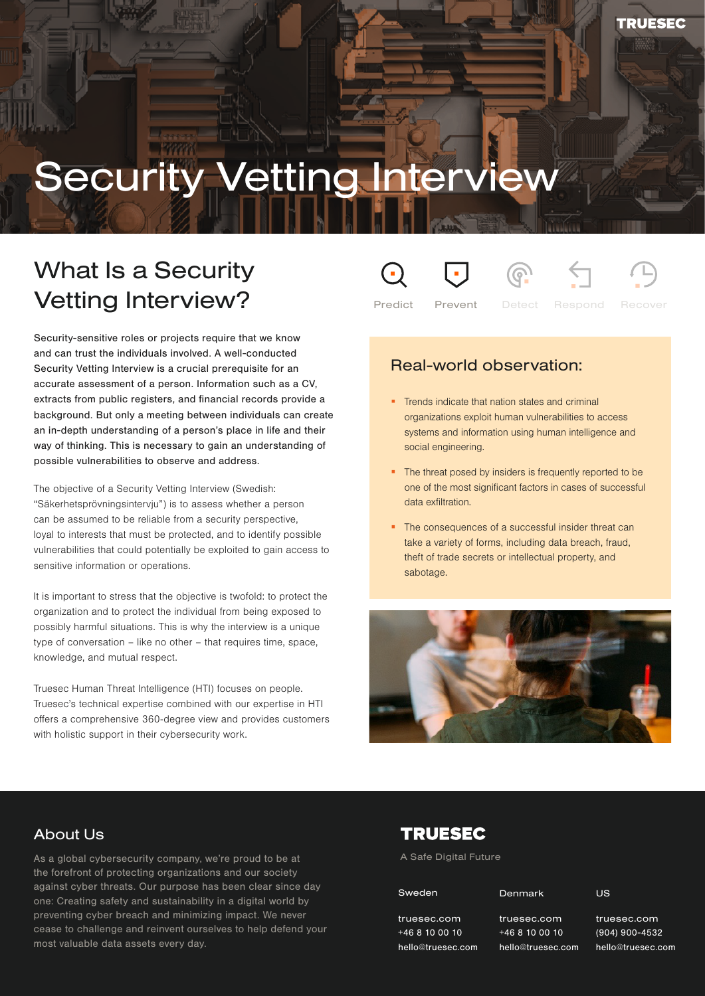# **Security Vetting Interviev**

# What Is a Security Vetting Interview?

Security-sensitive roles or projects require that we know and can trust the individuals involved. A well-conducted Security Vetting Interview is a crucial prerequisite for an accurate assessment of a person. Information such as a CV, extracts from public registers, and financial records provide a background. But only a meeting between individuals can create an in-depth understanding of a person's place in life and their way of thinking. This is necessary to gain an understanding of possible vulnerabilities to observe and address.

The objective of a Security Vetting Interview (Swedish: "Säkerhetsprövningsintervju") is to assess whether a person can be assumed to be reliable from a security perspective, loyal to interests that must be protected, and to identify possible vulnerabilities that could potentially be exploited to gain access to sensitive information or operations.

It is important to stress that the objective is twofold: to protect the organization and to protect the individual from being exposed to possibly harmful situations. This is why the interview is a unique type of conversation – like no other – that requires time, space, knowledge, and mutual respect.

Truesec Human Threat Intelligence (HTI) focuses on people. Truesec's technical expertise combined with our expertise in HTI offers a comprehensive 360-degree view and provides customers with holistic support in their cybersecurity work.

Predict Prevent Detect Respond Recover

# Real-world observation:

- **Trends indicate that nation states and criminal** organizations exploit human vulnerabilities to access systems and information using human intelligence and social engineering.
- The threat posed by insiders is frequently reported to be one of the most significant factors in cases of successful data exfiltration.
- The consequences of a successful insider threat can take a variety of forms, including data breach, fraud, theft of trade secrets or intellectual property, and sabotage.



## About Us

.<br>cease to challenge and reinvent ourselves to help defend your As a global cybersecurity company, we're proud to be at the forefront of protecting organizations and our society against cyber threats. Our purpose has been clear since day one: Creating safety and sustainability in a digital world by preventing cyber breach and minimizing impact. We never most valuable data assets every day.

# **TRUESEC**

A Safe Digital Future

Denmark

truesec.com +46 8 10 00 10 hello@truesec.com truesec.com +46 8 10 00 10

truesec.com n hello@truesec.com truesec.com +46 8 10 00 10

(904) 900-4532 (904) 900-4532 hello@truesec.com truesec.com

US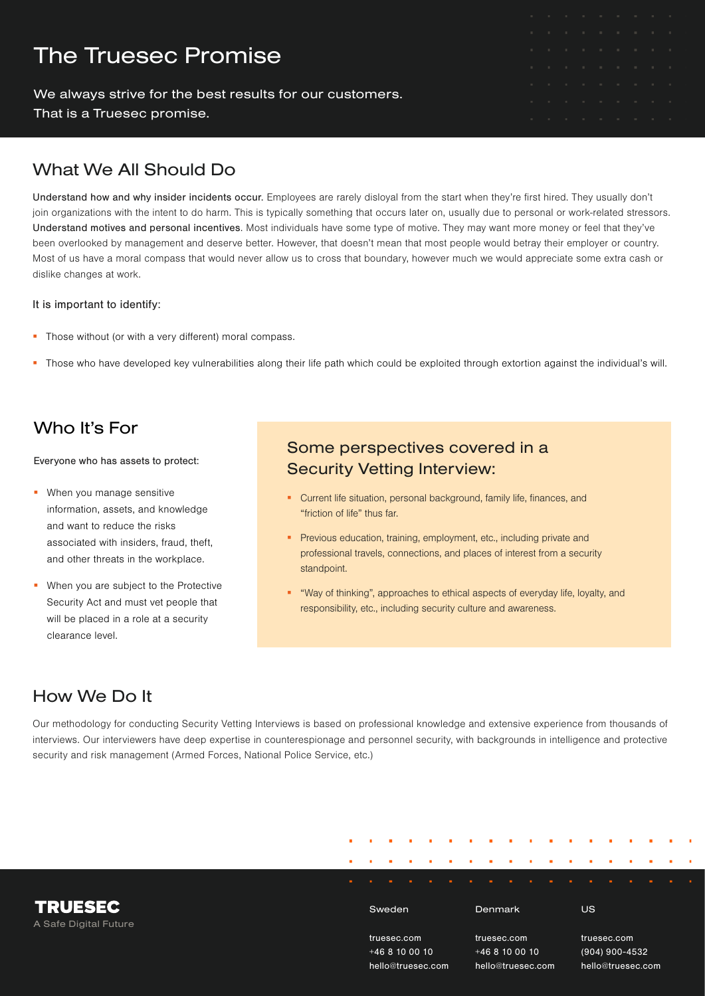# The Truesec Promise

We always strive for the best results for our customers.

That is a Truesec promise.

# What We All Should Do

Understand how and why insider incidents occur. Employees are rarely disloyal from the start when they're first hired. They usually don't join organizations with the intent to do harm. This is typically something that occurs later on, usually due to personal or work-related stressors. Understand motives and personal incentives. Most individuals have some type of motive. They may want more money or feel that they've been overlooked by management and deserve better. However, that doesn't mean that most people would betray their employer or country. Most of us have a moral compass that would never allow us to cross that boundary, however much we would appreciate some extra cash or dislike changes at work.

#### It is important to identify:

- **Those without (or with a very different) moral compass.**
- Those who have developed key vulnerabilities along their life path which could be exploited through extortion against the individual's will.

# Who It's For

Everyone who has assets to protect:

- **When you manage sensitive** information, assets, and knowledge and want to reduce the risks associated with insiders, fraud, theft, and other threats in the workplace.
- **When you are subject to the Protective** Security Act and must vet people that will be placed in a role at a security clearance level.

# Some perspectives covered in a Security Vetting Interview:

- Current life situation, personal background, family life, finances, and "friction of life" thus far.
- **Previous education, training, employment, etc., including private and** professional travels, connections, and places of interest from a security standpoint.
- "Way of thinking", approaches to ethical aspects of everyday life, loyalty, and responsibility, etc., including security culture and awareness.

# How We Do It

Our methodology for conducting Security Vetting Interviews is based on professional knowledge and extensive experience from thousands of interviews. Our interviewers have deep expertise in counterespionage and personnel security, with backgrounds in intelligence and protective security and risk management (Armed Forces, National Police Service, etc.)

| <b>TRUESEC</b><br>A Safe Digital Future |                   |              | Sweden |  |                   |              |  | Denmark |  |  |                   |                | US |  |  |  |  |  |
|-----------------------------------------|-------------------|--------------|--------|--|-------------------|--------------|--|---------|--|--|-------------------|----------------|----|--|--|--|--|--|
|                                         | truesec.com       |              |        |  |                   | truesec.com  |  |         |  |  |                   | truesec.com    |    |  |  |  |  |  |
|                                         |                   | $+468100010$ |        |  |                   | $+468100010$ |  |         |  |  |                   | (904) 900-4532 |    |  |  |  |  |  |
|                                         | hello@truesec.com |              |        |  | hello@truesec.com |              |  |         |  |  | hello@truesec.com |                |    |  |  |  |  |  |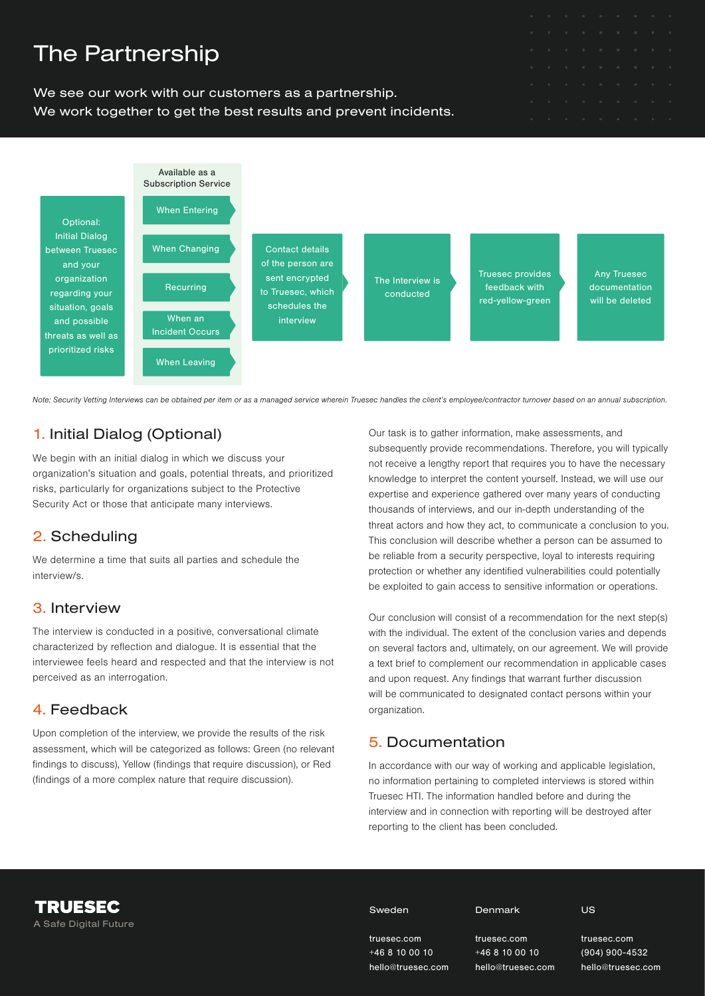

Note: Security Vetting Interviews can be obtained per item or as a managed service wherein Truesec handles the client's employee/contractor turnover based on an annual subscription.

### 1. Initial Dialog (Optional)

We begin with an initial dialog in which we discuss your organization's situation and goals, potential threats, and prioritized risks, particularly for organizations subject to the Protective Security Act or those that anticipate many interviews.

#### 2. Scheduling

We determine a time that suits all parties and schedule the interview/s.

#### 3. Interview

The interview is conducted in a positive, conversational climate characterized by reflection and dialogue. It is essential that the interviewee feels heard and respected and that the interview is not perceived as an interrogation.

#### 4. Feedback

Upon completion of the interview, we provide the results of the risk assessment, which will be categorized as follows: Green (no relevant findings to discuss), Yellow (findings that require discussion), or Red (findings of a more complex nature that require discussion).

Our task is to gather information, make assessments, and subsequently provide recommendations. Therefore, you will typically not receive a lengthy report that requires you to have the necessary knowledge to interpret the content yourself. Instead, we will use our expertise and experience gathered over many years of conducting thousands of interviews, and our in-depth understanding of the threat actors and how they act, to communicate a conclusion to you. This conclusion will describe whether a person can be assumed to be reliable from a security perspective, loyal to interests requiring protection or whether any identified vulnerabilities could potentially be exploited to gain access to sensitive information or operations.

Our conclusion will consist of a recommendation for the next step(s) with the individual. The extent of the conclusion varies and depends on several factors and, ultimately, on our agreement. We will provide a text brief to complement our recommendation in applicable cases and upon request. Any findings that warrant further discussion will be communicated to designated contact persons within your organization.

#### 5. Documentation

In accordance with our way of working and applicable legislation, no information pertaining to completed interviews is stored within Truesec HTI. The information handled before and during the interview and in connection with reporting will be destroyed after reporting to the client has been concluded.

#### Sweden

truesec.com +46 8 10 00 10 Denmark

hello@truesec.com truesec.com +46 8 10 00 10 hello@truesec.com US

truesec.com (904) 900-4532 hello@truesec.com